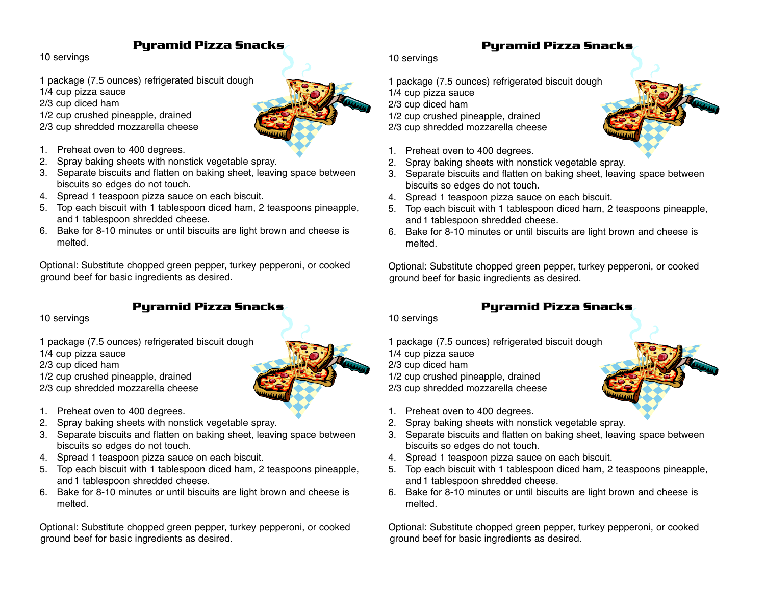## **Pyramid Pizza Snacks**

10 servings

1 package (7.5 ounces) refrigerated biscuit dough

1/4 cup pizza sauce

2/3 cup diced ham

1/2 cup crushed pineapple, drained

- 2/3 cup shredded mozzarella cheese
- 1. Preheat oven to 400 degrees.
- 2. Spray baking sheets with nonstick vegetable spray.
- 3. Separate biscuits and flatten on baking sheet, leaving space between biscuits so edges do not touch.
- 4. Spread 1 teaspoon pizza sauce on each biscuit.
- 5. Top each biscuit with 1 tablespoon diced ham, 2 teaspoons pineapple, and1 tablespoon shredded cheese.
- 6. Bake for 8-10 minutes or until biscuits are light brown and cheese is melted.

Optional: Substitute chopped green pepper, turkey pepperoni, or cooked ground beef for basic ingredients as desired.

## **Pyramid Pizza Snacks**

10 servings

1 package (7.5 ounces) refrigerated biscuit dough

1/4 cup pizza sauce

2/3 cup diced ham

1/2 cup crushed pineapple, drained

2/3 cup shredded mozzarella cheese

- 1. Preheat oven to 400 degrees.
- 2. Spray baking sheets with nonstick vegetable spray.
- 3. Separate biscuits and flatten on baking sheet, leaving space between biscuits so edges do not touch.
- 4. Spread 1 teaspoon pizza sauce on each biscuit.
- 5. Top each biscuit with 1 tablespoon diced ham, 2 teaspoons pineapple, and1 tablespoon shredded cheese.
- 6. Bake for 8-10 minutes or until biscuits are light brown and cheese is melted.

Optional: Substitute chopped green pepper, turkey pepperoni, or cooked ground beef for basic ingredients as desired.

10 servings

- 1 package (7.5 ounces) refrigerated biscuit dough
- 1/4 cup pizza sauce
- 2/3 cup diced ham
- 1/2 cup crushed pineapple, drained
- 2/3 cup shredded mozzarella cheese
- 1. Preheat oven to 400 degrees.
- 2. Spray baking sheets with nonstick vegetable spray.
- 3. Separate biscuits and flatten on baking sheet, leaving space between biscuits so edges do not touch.

**Pyramid Pizza Snacks**

- 4. Spread 1 teaspoon pizza sauce on each biscuit.
- 5. Top each biscuit with 1 tablespoon diced ham, 2 teaspoons pineapple, and1 tablespoon shredded cheese.
- 6. Bake for 8-10 minutes or until biscuits are light brown and cheese is melted.

Optional: Substitute chopped green pepper, turkey pepperoni, or cooked ground beef for basic ingredients as desired.

## **Pyramid Pizza Snacks**

10 servings

- 1 package (7.5 ounces) refrigerated biscuit dough
- 1/4 cup pizza sauce
- 2/3 cup diced ham
- 1/2 cup crushed pineapple, drained 2/3 cup shredded mozzarella cheese
- 1. Preheat oven to 400 degrees.
- 2. Spray baking sheets with nonstick vegetable spray.
- 3. Separate biscuits and flatten on baking sheet, leaving space between biscuits so edges do not touch.
- 4. Spread 1 teaspoon pizza sauce on each biscuit.
- 5. Top each biscuit with 1 tablespoon diced ham, 2 teaspoons pineapple, and1 tablespoon shredded cheese.
- 6. Bake for 8-10 minutes or until biscuits are light brown and cheese is melted.

Optional: Substitute chopped green pepper, turkey pepperoni, or cooked ground beef for basic ingredients as desired.